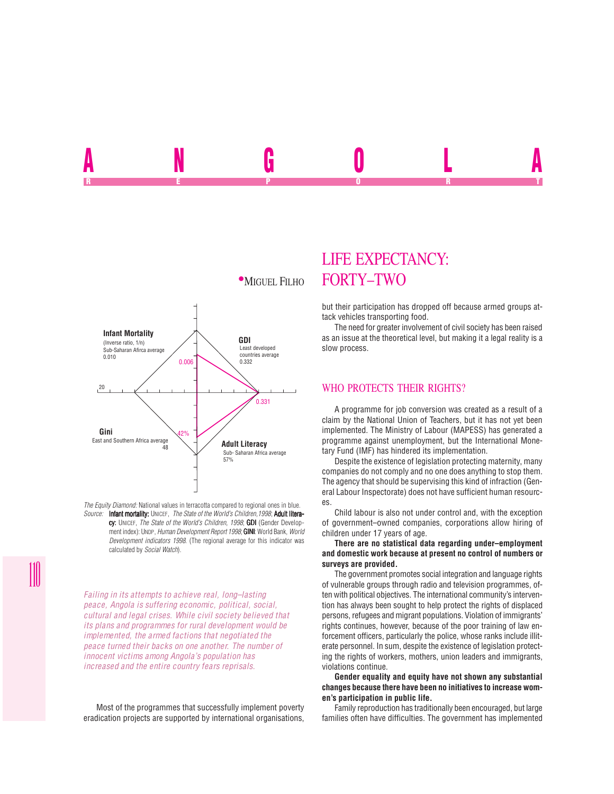

*The Equity Diamond:* National values in terracotta compared to regional ones in blue. *Source:* Infant mortality: UNICEF, *The State of the World's Children,1998*; Adult litera-

cy: UNICEF, *The State of the World's Children, 1998*; GDI (Gender Development index): UNDP, *Human Development Report 1998*; **GINI**: World Bank, *World Development indicators 1998*. (The regional average for this indicator was calculated by *Social Watch*).

*Failing in its attempts to achieve real, long–lasting peace, Angola is suffering economic, political, social, cultural and legal crises. While civil society believed that its plans and programmes for rural development would be implemented, the armed factions that negotiated the peace turned their backs on one another. The number of innocent victims among Angola's population has increased and the entire country fears reprisals.*

Most of the programmes that successfully implement poverty eradication projects are supported by international organisations,

## LIFE EXPECTANCY: **MIGUEL FILHO FORTY-TWO**

ANGOLA REPORT OF STATE REPORT OF STATE REPORT OF STATE REPORT OF STATE REPORT OF STATE REPORT OF STATE REPORT OF STATE REPORT OF STATE REPORT OF STATE REPORT OF STATE REPORT OF STATE REPORT OF STATE REPORT OF STATE REPORT OF STAT

> but their participation has dropped off because armed groups attack vehicles transporting food.

> The need for greater involvement of civil society has been raised as an issue at the theoretical level, but making it a legal reality is a slow process.

## WHO PROTECTS THEIR RIGHTS?

A programme for job conversion was created as a result of a claim by the National Union of Teachers, but it has not yet been implemented. The Ministry of Labour (MAPESS) has generated a programme against unemployment, but the International Monetary Fund (IMF) has hindered its implementation.

Despite the existence of legislation protecting maternity, many companies do not comply and no one does anything to stop them. The agency that should be supervising this kind of infraction (General Labour Inspectorate) does not have sufficient human resources.

Child labour is also not under control and, with the exception of government–owned companies, corporations allow hiring of children under 17 years of age.

**There are no statistical data regarding under–employment and domestic work because at present no control of numbers or surveys are provided.**

The government promotes social integration and language rights of vulnerable groups through radio and television programmes, often with political objectives. The international community's intervention has always been sought to help protect the rights of displaced persons, refugees and migrant populations. Violation of immigrants' rights continues, however, because of the poor training of law enforcement officers, particularly the police, whose ranks include illiterate personnel. In sum, despite the existence of legislation protecting the rights of workers, mothers, union leaders and immigrants, violations continue.

**Gender equality and equity have not shown any substantial changes because there have been no initiatives to increase women's participation in public life.**

Family reproduction has traditionally been encouraged, but large families often have difficulties. The government has implemented